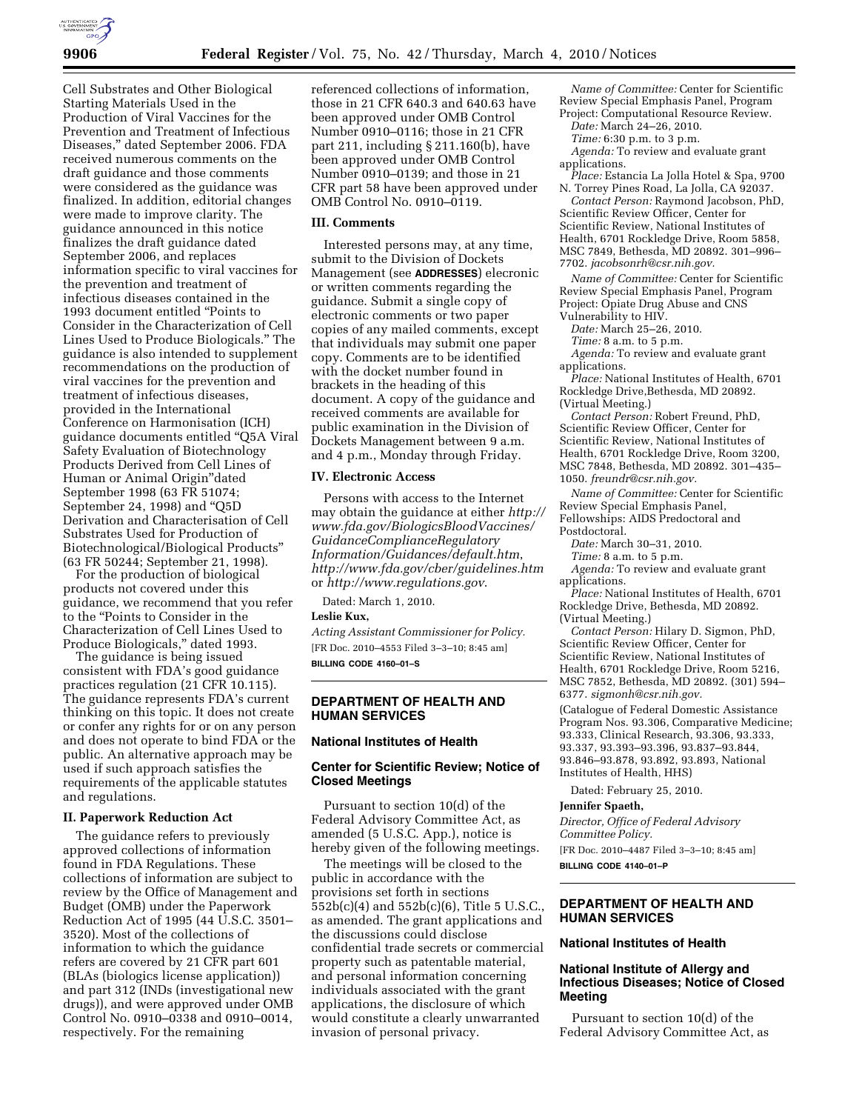

Cell Substrates and Other Biological Starting Materials Used in the Production of Viral Vaccines for the Prevention and Treatment of Infectious Diseases,'' dated September 2006. FDA received numerous comments on the draft guidance and those comments were considered as the guidance was finalized. In addition, editorial changes were made to improve clarity. The guidance announced in this notice finalizes the draft guidance dated September 2006, and replaces information specific to viral vaccines for the prevention and treatment of infectious diseases contained in the 1993 document entitled ''Points to Consider in the Characterization of Cell Lines Used to Produce Biologicals.'' The guidance is also intended to supplement recommendations on the production of viral vaccines for the prevention and treatment of infectious diseases, provided in the International Conference on Harmonisation (ICH) guidance documents entitled ''Q5A Viral Safety Evaluation of Biotechnology Products Derived from Cell Lines of Human or Animal Origin''dated September 1998 (63 FR 51074; September 24, 1998) and "Q5D Derivation and Characterisation of Cell Substrates Used for Production of Biotechnological/Biological Products'' (63 FR 50244; September 21, 1998).

For the production of biological products not covered under this guidance, we recommend that you refer to the ''Points to Consider in the Characterization of Cell Lines Used to Produce Biologicals,'' dated 1993.

The guidance is being issued consistent with FDA's good guidance practices regulation (21 CFR 10.115). The guidance represents FDA's current thinking on this topic. It does not create or confer any rights for or on any person and does not operate to bind FDA or the public. An alternative approach may be used if such approach satisfies the requirements of the applicable statutes and regulations.

#### **II. Paperwork Reduction Act**

The guidance refers to previously approved collections of information found in FDA Regulations. These collections of information are subject to review by the Office of Management and Budget (OMB) under the Paperwork Reduction Act of 1995 (44 U.S.C. 3501– 3520). Most of the collections of information to which the guidance refers are covered by 21 CFR part 601 (BLAs (biologics license application)) and part 312 (INDs (investigational new drugs)), and were approved under OMB Control No. 0910–0338 and 0910–0014, respectively. For the remaining

referenced collections of information, those in 21 CFR 640.3 and 640.63 have been approved under OMB Control Number 0910–0116; those in 21 CFR part 211, including § 211.160(b), have been approved under OMB Control Number 0910–0139; and those in 21 CFR part 58 have been approved under OMB Control No. 0910–0119.

# **III. Comments**

Interested persons may, at any time, submit to the Division of Dockets Management (see **ADDRESSES**) elecronic or written comments regarding the guidance. Submit a single copy of electronic comments or two paper copies of any mailed comments, except that individuals may submit one paper copy. Comments are to be identified with the docket number found in brackets in the heading of this document. A copy of the guidance and received comments are available for public examination in the Division of Dockets Management between 9 a.m. and 4 p.m., Monday through Friday.

## **IV. Electronic Access**

Persons with access to the Internet may obtain the guidance at either *http:// www.fda.gov/BiologicsBloodVaccines/ GuidanceComplianceRegulatory Information/Guidances/default.htm*, *http://www.fda.gov/cber/guidelines.htm*  or *http://www.regulations.gov*.

Dated: March 1, 2010.

#### **Leslie Kux,**

*Acting Assistant Commissioner for Policy.*  [FR Doc. 2010–4553 Filed 3–3–10; 8:45 am] **BILLING CODE 4160–01–S** 

## **DEPARTMENT OF HEALTH AND HUMAN SERVICES**

#### **National Institutes of Health**

#### **Center for Scientific Review; Notice of Closed Meetings**

Pursuant to section 10(d) of the Federal Advisory Committee Act, as amended (5 U.S.C. App.), notice is hereby given of the following meetings.

The meetings will be closed to the public in accordance with the provisions set forth in sections 552b(c)(4) and 552b(c)(6), Title 5 U.S.C., as amended. The grant applications and the discussions could disclose confidential trade secrets or commercial property such as patentable material, and personal information concerning individuals associated with the grant applications, the disclosure of which would constitute a clearly unwarranted invasion of personal privacy.

*Name of Committee:* Center for Scientific Review Special Emphasis Panel, Program Project: Computational Resource Review.

*Date:* March 24–26, 2010.

*Time:* 6:30 p.m. to 3 p.m.

*Agenda:* To review and evaluate grant applications.

*Place:* Estancia La Jolla Hotel & Spa, 9700 N. Torrey Pines Road, La Jolla, CA 92037.

*Contact Person:* Raymond Jacobson, PhD, Scientific Review Officer, Center for Scientific Review, National Institutes of Health, 6701 Rockledge Drive, Room 5858, MSC 7849, Bethesda, MD 20892. 301–996– 7702. *jacobsonrh@csr.nih.gov.* 

*Name of Committee:* Center for Scientific Review Special Emphasis Panel, Program Project: Opiate Drug Abuse and CNS Vulnerability to HIV.

*Date:* March 25–26, 2010.

*Time:* 8 a.m. to 5 p.m.

*Agenda:* To review and evaluate grant applications.

*Place:* National Institutes of Health, 6701 Rockledge Drive,Bethesda, MD 20892. (Virtual Meeting.)

*Contact Person:* Robert Freund, PhD, Scientific Review Officer, Center for Scientific Review, National Institutes of Health, 6701 Rockledge Drive, Room 3200, MSC 7848, Bethesda, MD 20892. 301–435– 1050. *freundr@csr.nih.gov.* 

*Name of Committee:* Center for Scientific Review Special Emphasis Panel, Fellowships: AIDS Predoctoral and Postdoctoral.

*Date:* March 30–31, 2010.

*Time:* 8 a.m. to 5 p.m.

*Agenda:* To review and evaluate grant applications.

*Place:* National Institutes of Health, 6701 Rockledge Drive, Bethesda, MD 20892. (Virtual Meeting.)

*Contact Person:* Hilary D. Sigmon, PhD, Scientific Review Officer, Center for Scientific Review, National Institutes of Health, 6701 Rockledge Drive, Room 5216, MSC 7852, Bethesda, MD 20892. (301) 594– 6377. *sigmonh@csr.nih.gov.* 

(Catalogue of Federal Domestic Assistance Program Nos. 93.306, Comparative Medicine; 93.333, Clinical Research, 93.306, 93.333, 93.337, 93.393–93.396, 93.837–93.844, 93.846–93.878, 93.892, 93.893, National Institutes of Health, HHS)

Dated: February 25, 2010.

#### **Jennifer Spaeth,**

*Director, Office of Federal Advisory Committee Policy.* 

[FR Doc. 2010–4487 Filed 3–3–10; 8:45 am]

**BILLING CODE 4140–01–P** 

# **DEPARTMENT OF HEALTH AND HUMAN SERVICES**

#### **National Institutes of Health**

## **National Institute of Allergy and Infectious Diseases; Notice of Closed Meeting**

Pursuant to section 10(d) of the Federal Advisory Committee Act, as